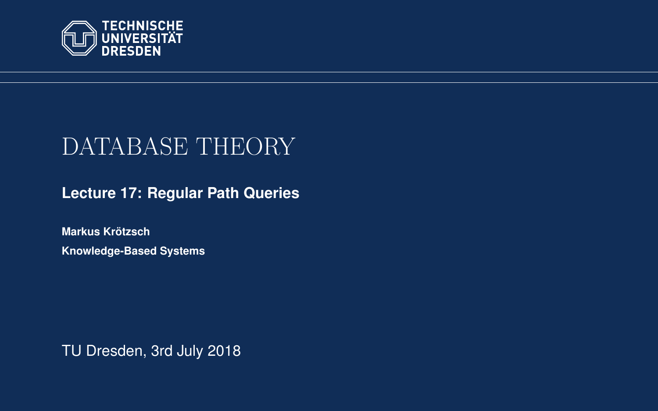<span id="page-0-0"></span>

# DATABASE THEORY

**[Lecture 17: Regular Path Queries](https://iccl.inf.tu-dresden.de/web/Database_Theory_(SS2018))**

**[Markus Krotzsch](https://iccl.inf.tu-dresden.de/web/Markus_Kr%C3%B6tzsch/en) ¨ Knowledge-Based Systems**

TU Dresden, 3rd July 2018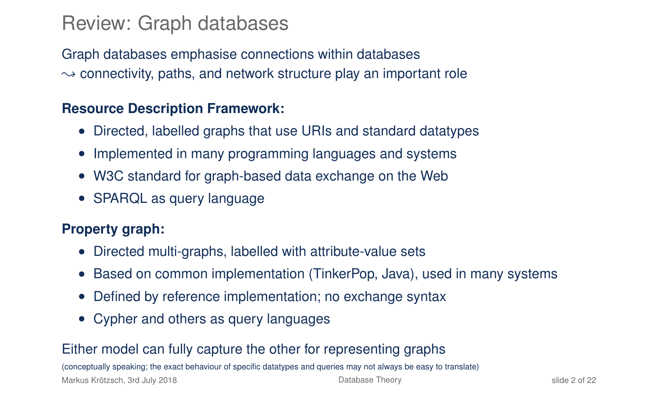### Review: Graph databases

Graph databases emphasise connections within databases  $\rightarrow$  connectivity, paths, and network structure play an important role

#### **Resource Description Framework:**

- Directed, labelled graphs that use URIs and standard datatypes
- Implemented in many programming languages and systems
- W3C standard for graph-based data exchange on the Web
- SPARQL as query language

#### **Property graph:**

- Directed multi-graphs, labelled with attribute-value sets
- Based on common implementation (TinkerPop, Java), used in many systems
- Defined by reference implementation; no exchange syntax
- Cypher and others as query languages

#### Either model can fully capture the other for representing graphs

(conceptually speaking; the exact behaviour of specific datatypes and queries may not always be easy to translate)

Markus Krötzsch, 3rd July 2018 [Database Theory](#page-0-0) slide 2 of 22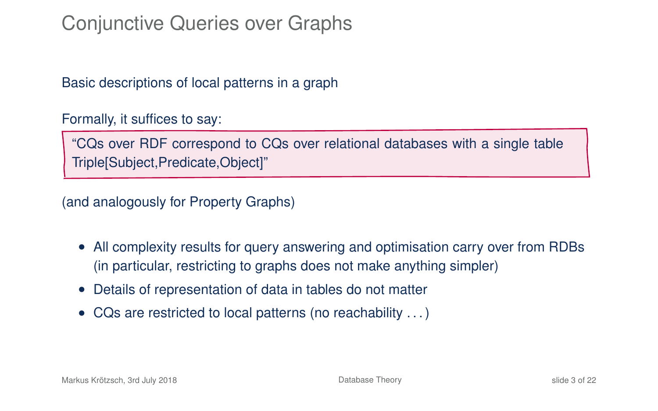# Conjunctive Queries over Graphs

Basic descriptions of local patterns in a graph

Formally, it suffices to say:

"CQs over RDF correspond to CQs over relational databases with a single table Triple[Subject,Predicate,Object]"

(and analogously for Property Graphs)

- All complexity results for query answering and optimisation carry over from RDBs (in particular, restricting to graphs does not make anything simpler)
- Details of representation of data in tables do not matter
- CQs are restricted to local patterns (no reachability . . . )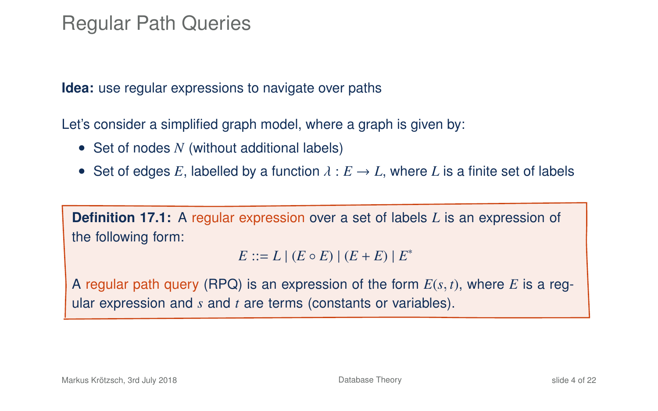### Regular Path Queries

**Idea:** use regular expressions to navigate over paths

Let's consider a simplified graph model, where a graph is given by:

- Set of nodes *N* (without additional labels)
- Set of edges E, labelled by a function  $\lambda : E \to L$ , where L is a finite set of labels

**Definition 17.1:** A regular expression over a set of labels *L* is an expression of the following form:

 $E := L | (E \circ E) | (E + E) | E^*$ 

<sup>A</sup> regular path query (RPQ) is an expression of the form *E*(*s*, *t*), where *E* is a regular expression and *s* and *t* are terms (constants or variables).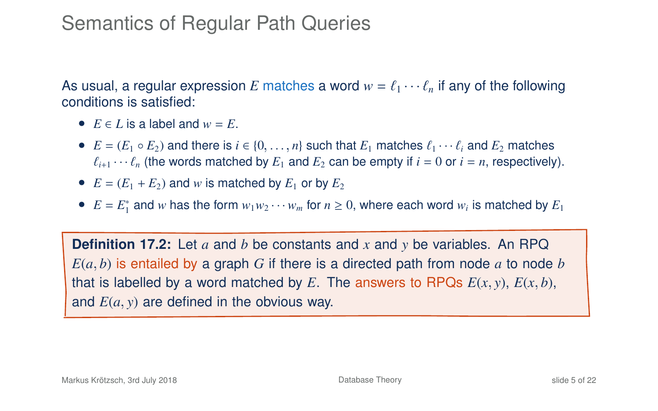# Semantics of Regular Path Queries

As usual, a regular expression E matches a word  $w = \ell_1 \cdots \ell_n$  if any of the following conditions is satisfied:

- $E \in L$  is a label and  $w = E$ .
- $E = (E_1 \circ E_2)$  and there is  $i \in \{0, \ldots, n\}$  such that  $E_1$  matches  $\ell_1 \cdots \ell_i$  and  $E_2$  matches  $\ell_{i+1} \cdots \ell_n$  (the words matched by  $E_1$  and  $E_2$  can be empty if  $i = 0$  or  $i = n$ , respectively).
- $E = (E_1 + E_2)$  and *w* is matched by  $E_1$  or by  $E_2$
- $E = E_1^*$  and *w* has the form  $w_1w_2 \cdots w_m$  for  $n \ge 0$ , where each word  $w_i$  is matched by  $E_1$

**Definition 17.2:** Let *a* and *b* be constants and *x* and *y* be variables. An RPQ  $E(a, b)$  is entailed by a graph G if there is a directed path from node a to node b that is labelled by a word matched by E. The answers to RPQs  $E(x, y)$ ,  $E(x, b)$ , and *E*(*a*, *y*) are defined in the obvious way.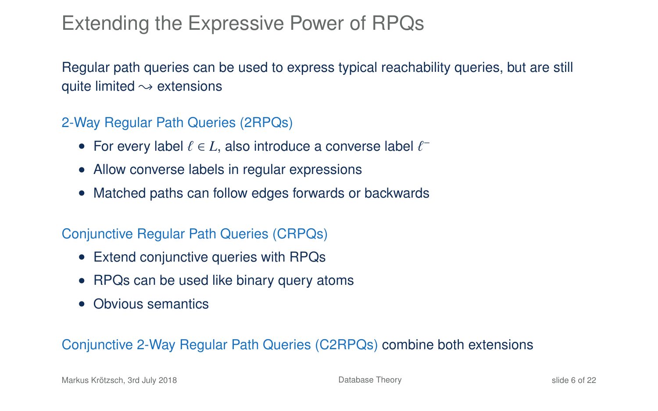# Extending the Expressive Power of RPQs

Regular path queries can be used to express typical reachability queries, but are still quite limited  $\rightsquigarrow$  extensions

#### 2-Way Regular Path Queries (2RPQs)

- For every label  $\ell \in L$ , also introduce a converse label  $\ell^-$
- Allow converse labels in regular expressions
- Matched paths can follow edges forwards or backwards

#### Conjunctive Regular Path Queries (CRPQs)

- Extend conjunctive queries with RPQs
- RPQs can be used like binary query atoms
- Obvious semantics

#### Conjunctive 2-Way Regular Path Queries (C2RPQs) combine both extensions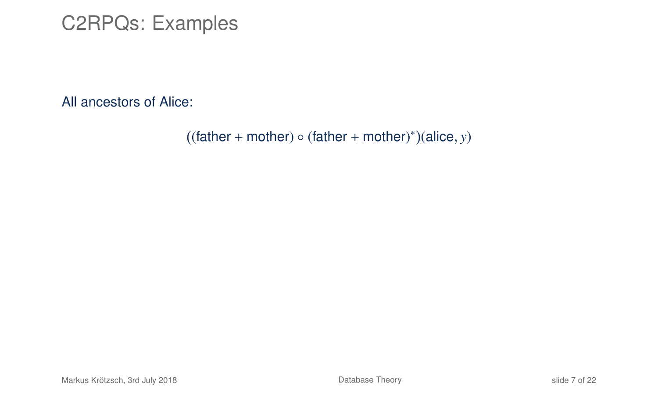### C2RPQs: Examples

All ancestors of Alice:

 $((father + mother) \circ (father + mother)^*)(alice, y)$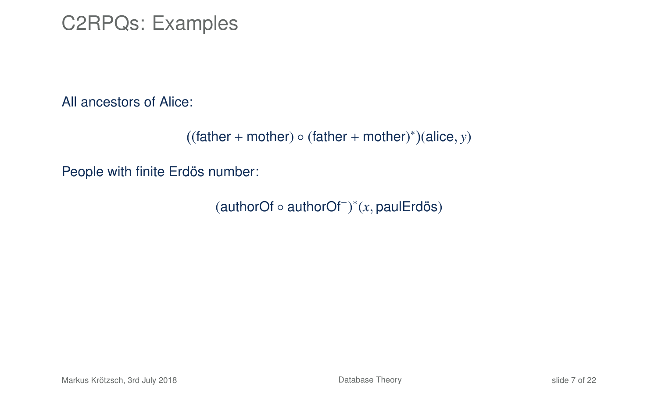### C2RPQs: Examples

All ancestors of Alice:

```
((father + mother) \circ (father + mother)^*)(alice, y)
```
People with finite Erdös number:

(authorOf ◦ authorOf<sup>−</sup> ) ∗ (*x*, paulErdös)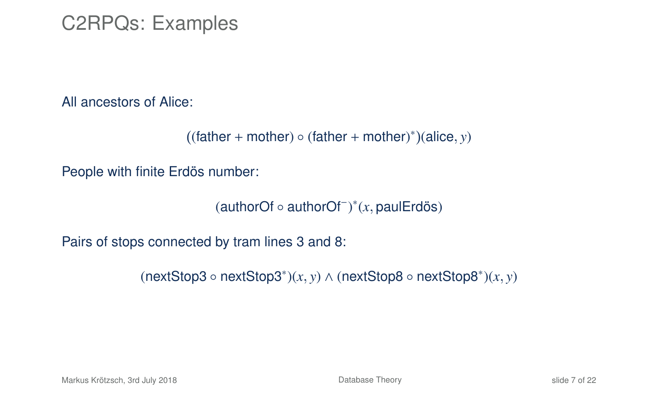### C2RPQs: Examples

All ancestors of Alice:

```
((father + mother) \circ (father + mother)^*)(alice, y)
```
People with finite Erdös number:

(authorOf ◦ authorOf<sup>−</sup> ) ∗ (*x*, paulErdös)

Pairs of stops connected by tram lines 3 and 8:

(nextStop3 ◦ nextStop3<sup>∗</sup> )(*x*, *<sup>y</sup>*) <sup>∧</sup> (nextStop8 ◦ nextStop8<sup>∗</sup> )(*x*, *y*)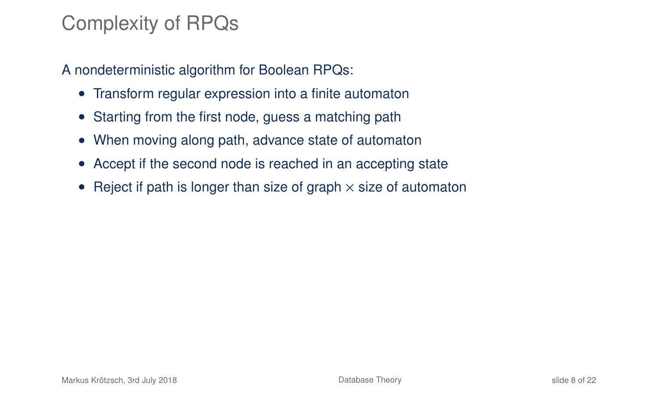# Complexity of RPQs

A nondeterministic algorithm for Boolean RPQs:

- Transform regular expression into a finite automaton
- Starting from the first node, guess a matching path
- When moving along path, advance state of automaton
- Accept if the second node is reached in an accepting state
- Reject if path is longer than size of graph  $\times$  size of automaton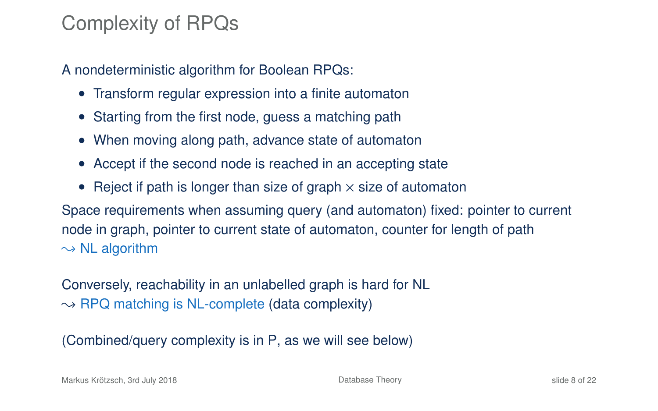# Complexity of RPQs

A nondeterministic algorithm for Boolean RPQs:

- Transform regular expression into a finite automaton
- Starting from the first node, guess a matching path
- When moving along path, advance state of automaton
- Accept if the second node is reached in an accepting state
- Reject if path is longer than size of graph  $\times$  size of automaton

Space requirements when assuming query (and automaton) fixed: pointer to current node in graph, pointer to current state of automaton, counter for length of path  $\rightarrow$  NL algorithm

Conversely, reachability in an unlabelled graph is hard for NL  $\rightarrow$  RPQ matching is NL-complete (data complexity)

(Combined/query complexity is in P, as we will see below)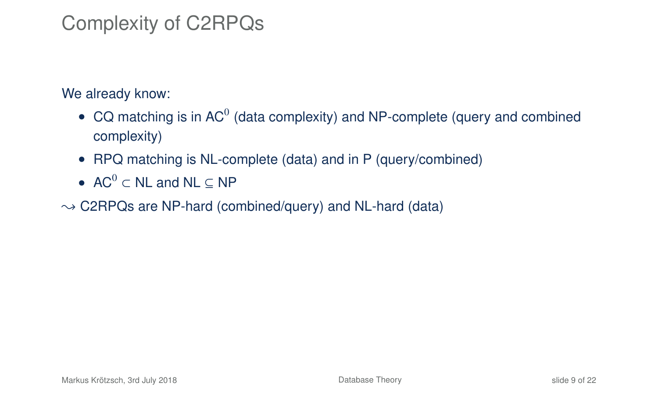# Complexity of C2RPQs

We already know:

- CQ matching is in AC<sup>0</sup> (data complexity) and NP-complete (query and combined complexity)
- RPQ matching is NL-complete (data) and in P (query/combined)
- AC $^0$   $\subset$  NL and NL  $\subset$  NP
- $\rightarrow$  C2RPQs are NP-hard (combined/query) and NL-hard (data)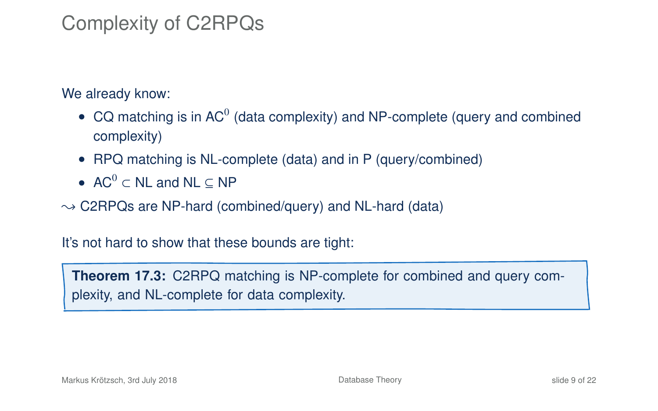# Complexity of C2RPQs

We already know:

- CQ matching is in AC<sup>0</sup> (data complexity) and NP-complete (query and combined complexity)
- RPQ matching is NL-complete (data) and in P (query/combined)
- AC $^0$   $\subset$  NL and NL  $\subset$  NP
- $\rightarrow$  C2RPQs are NP-hard (combined/query) and NL-hard (data)

It's not hard to show that these bounds are tight:

**Theorem 17.3:** C2RPQ matching is NP-complete for combined and query complexity, and NL-complete for data complexity.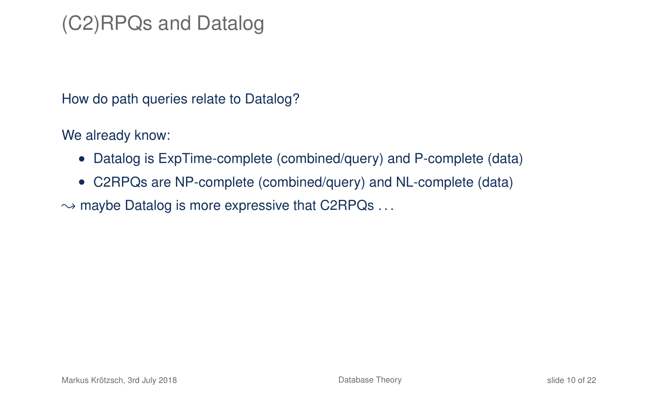# (C2)RPQs and Datalog

How do path queries relate to Datalog?

We already know:

- Datalog is ExpTime-complete (combined/query) and P-complete (data)
- C2RPQs are NP-complete (combined/query) and NL-complete (data)

 $\rightarrow$  maybe Datalog is more expressive that C2RPQs ...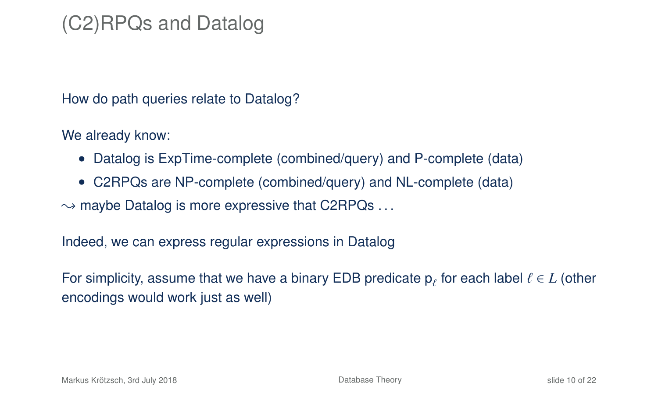# (C2)RPQs and Datalog

How do path queries relate to Datalog?

We already know:

- Datalog is ExpTime-complete (combined/query) and P-complete (data)
- C2RPQs are NP-complete (combined/query) and NL-complete (data)

 $\rightarrow$  maybe Datalog is more expressive that C2RPQs ...

Indeed, we can express regular expressions in Datalog

For simplicity, assume that we have a binary EDB predicate  $p_\ell$  for each label  $\ell \in L$  (other<br>consedings would work just as well) encodings would work just as well)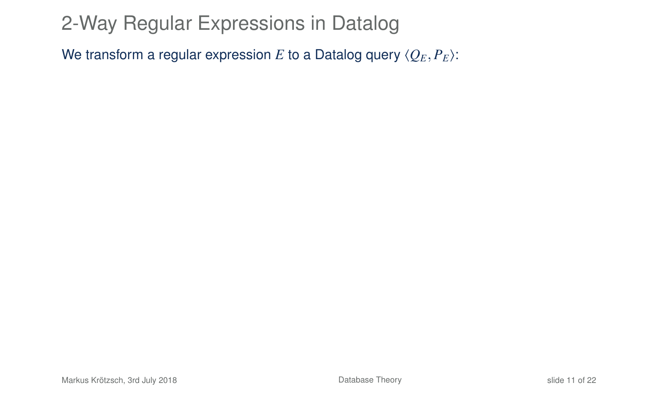We transform a regular expression *E* to a Datalog query  $\langle Q_E, P_E \rangle$ :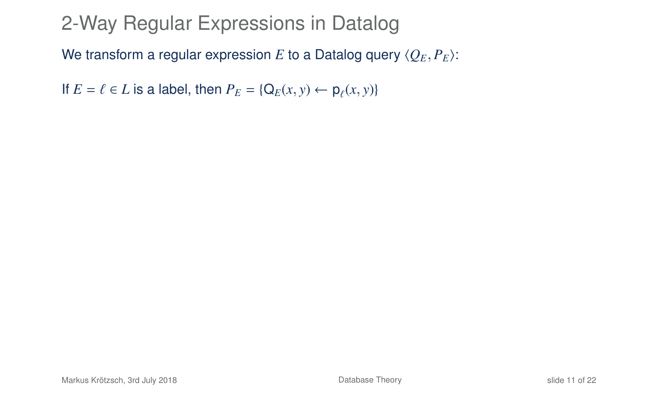We transform a regular expression *E* to a Datalog query  $\langle Q_E, P_E \rangle$ :

If  $E = \ell \in L$  is a label, then  $P_E = \{Q_E(x, y) \leftarrow \rho_\ell(x, y)\}$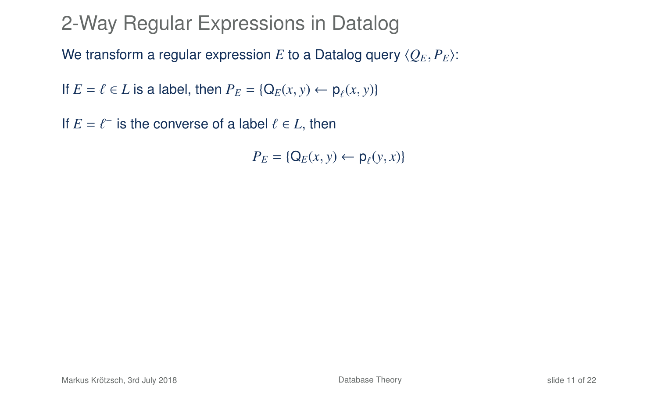We transform a regular expression *E* to a Datalog query  $\langle Q_E, P_E \rangle$ :

If  $E = \ell \in L$  is a label, then  $P_E = \{Q_E(x, y) \leftarrow \rho_\ell(x, y)\}$ 

If  $E = \ell^-$  is the converse of a label  $\ell \in L$ , then

 $P_E = \{ Q_E(x, y) \leftarrow p_\ell(y, x) \}$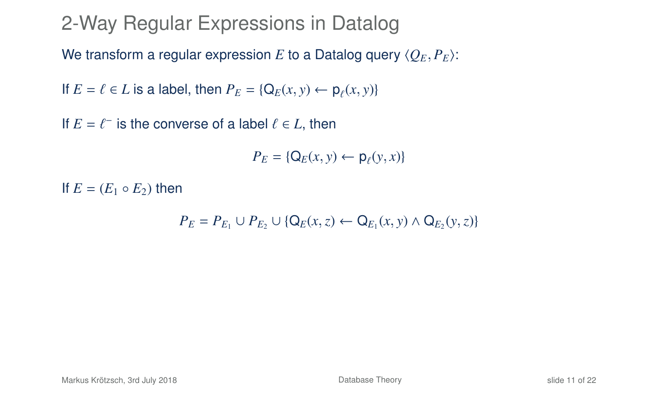We transform a regular expression *E* to a Datalog query  $\langle Q_E, P_E \rangle$ :

If  $E = \ell \in L$  is a label, then  $P_E = \{Q_E(x, y) \leftarrow \rho_\ell(x, y)\}$ 

If  $E = \ell^-$  is the converse of a label  $\ell \in L$ , then

 $P_E = \{ Q_E(x, y) \leftarrow p_\ell(y, x) \}$ 

If  $E = (E_1 \circ E_2)$  then

$$
P_E = P_{E_1} \cup P_{E_2} \cup \{Q_E(x, z) \leftarrow Q_{E_1}(x, y) \land Q_{E_2}(y, z)\}
$$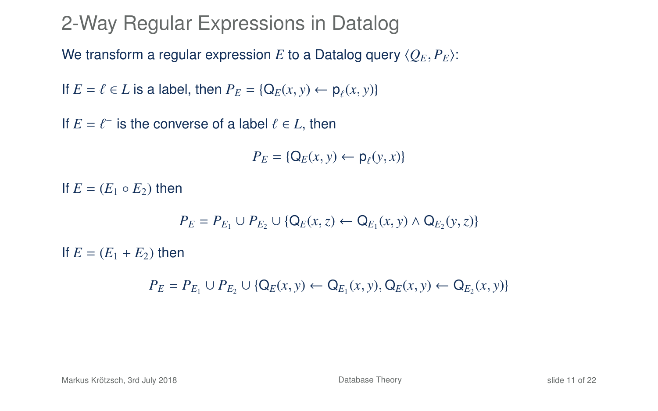We transform a regular expression *E* to a Datalog query  $\langle O_E, P_E \rangle$ :

If  $E = \ell \in L$  is a label, then  $P_E = \{Q_E(x, y) \leftarrow \rho_\ell(x, y)\}$ 

If  $E = \ell^-$  is the converse of a label  $\ell \in L$ , then

 $P_E = \{ Q_E(x, y) \leftarrow p_\ell(y, x) \}$ 

If  $E = (E_1 \circ E_2)$  then

$$
P_E = P_{E_1} \cup P_{E_2} \cup \{Q_E(x, z) \leftarrow Q_{E_1}(x, y) \land Q_{E_2}(y, z)\}
$$

If  $E = (E_1 + E_2)$  then

*P*<sub>*E*</sub> = *P*<sub>*E*<sub>1</sub></sub> ∪ *P*<sub>*E*<sub>2</sub></sub> ∪ {Q<sub>*E*</sub>(*x*, *y*) ← Q<sub>*E*<sub>1</sub></sub>(*x*, *y*), Q<sub>*E*</sub>(*x*, *y*) ← Q<sub>*E*<sub>2</sub></sub>(*x*, *y*)}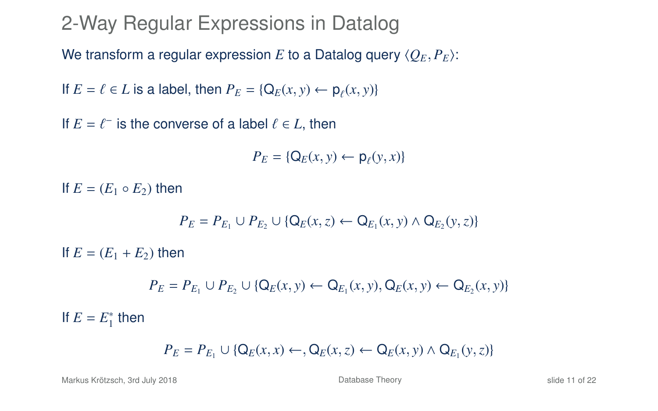We transform a regular expression *E* to a Datalog query  $\langle O_E, P_E \rangle$ :

If  $E = \ell \in L$  is a label, then  $P_E = \{Q_E(x, y) \leftarrow \rho_\ell(x, y)\}$ 

If  $E = \ell^-$  is the converse of a label  $\ell \in L$ , then

 $P_E = \{ Q_E(x, y) \leftarrow p_\ell(y, x) \}$ 

If  $E = (E_1 \circ E_2)$  then

$$
P_E = P_{E_1} \cup P_{E_2} \cup \{Q_E(x, z) \leftarrow Q_{E_1}(x, y) \land Q_{E_2}(y, z)\}
$$

If  $E = (E_1 + E_2)$  then

*P*<sub>*E*</sub> = *P*<sub>*E*<sub>1</sub></sub> ∪ *P*<sub>*E*<sub>2</sub></sub> ∪ {Q<sub>*E*</sub>(*x*, *y*) ← Q<sub>*E*<sub>1</sub></sub>(*x*, *y*), Q<sub>*E*</sub>(*x*, *y*) ← Q<sub>*E*<sub>2</sub></sub>(*x*, *y*)}

If  $E = E_1^*$  then

$$
P_E = P_{E_1} \cup \{ \mathsf{Q}_E(x, x) \leftarrow \mathsf{Q}_E(x, z) \leftarrow \mathsf{Q}_E(x, y) \land \mathsf{Q}_{E_1}(y, z) \}
$$

Markus Krötzsch, 3rd July 2018 [Database Theory](#page-0-0) slide 11 of 22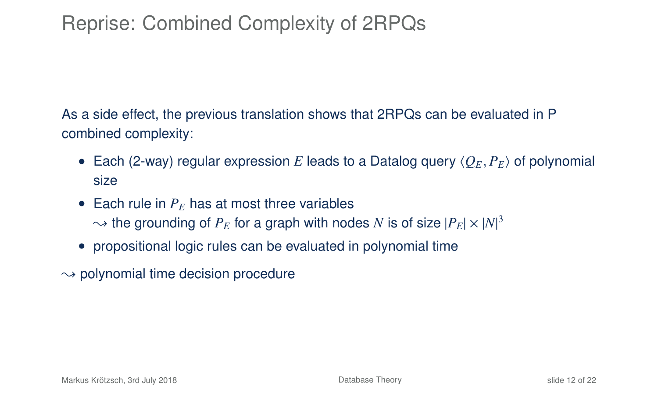# Reprise: Combined Complexity of 2RPQs

As a side effect, the previous translation shows that 2RPQs can be evaluated in P combined complexity:

- Each (2-way) regular expression *E* leads to a Datalog query  $\langle Q_F, P_F \rangle$  of polynomial size
- Each rule in  $P_E$  has at most three variables  $\sim$  the grounding of  $P_E$  for a graph with nodes  $N$  is of size  $|P_E|\times |N|^3$
- propositional logic rules can be evaluated in polynomial time
- $\rightarrow$  polynomial time decision procedure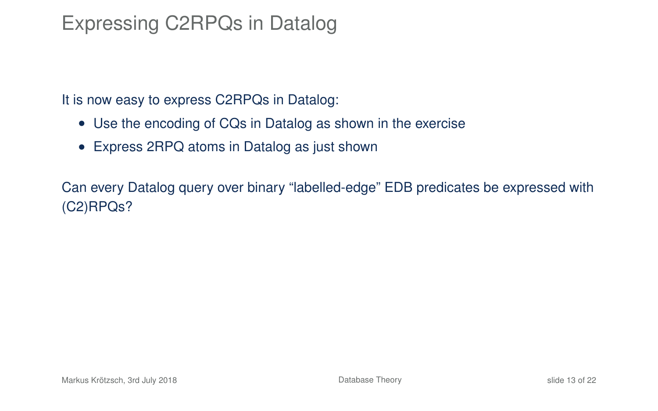# Expressing C2RPQs in Datalog

It is now easy to express C2RPQs in Datalog:

- Use the encoding of CQs in Datalog as shown in the exercise
- Express 2RPQ atoms in Datalog as just shown

Can every Datalog query over binary "labelled-edge" EDB predicates be expressed with (C2)RPQs?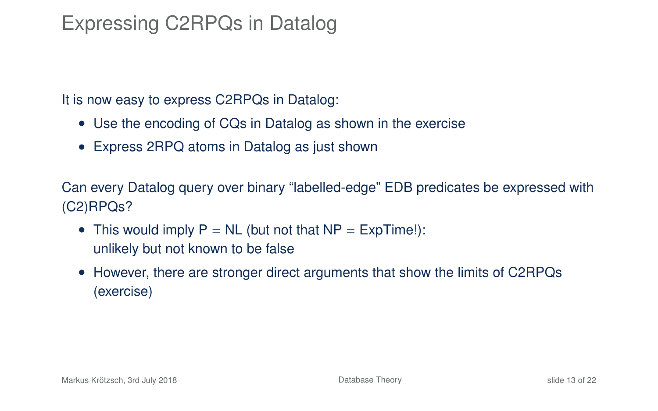# Expressing C2RPQs in Datalog

It is now easy to express C2RPQs in Datalog:

- Use the encoding of CQs in Datalog as shown in the exercise
- Express 2RPQ atoms in Datalog as just shown

Can every Datalog query over binary "labelled-edge" EDB predicates be expressed with (C2)RPQs?

- This would imply  $P = NL$  (but not that  $NP = ExpTime!$ ): unlikely but not known to be false
- However, there are stronger direct arguments that show the limits of C2RPQs (exercise)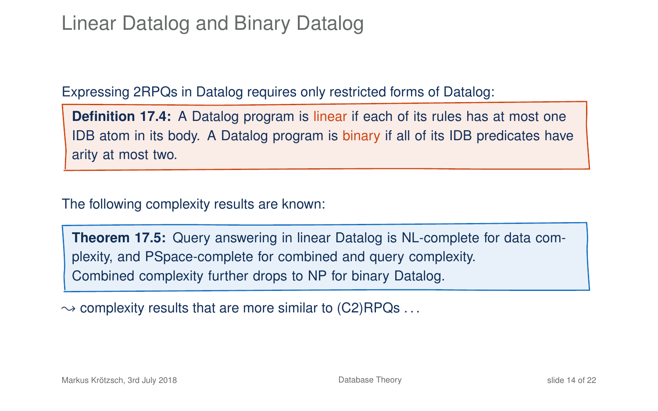# Linear Datalog and Binary Datalog

Expressing 2RPQs in Datalog requires only restricted forms of Datalog:

**Definition 17.4:** A Datalog program is linear if each of its rules has at most one IDB atom in its body. A Datalog program is binary if all of its IDB predicates have arity at most two.

The following complexity results are known:

**Theorem 17.5:** Query answering in linear Datalog is NL-complete for data complexity, and PSpace-complete for combined and query complexity. Combined complexity further drops to NP for binary Datalog.

 $\rightarrow$  complexity results that are more similar to (C2)RPQs ...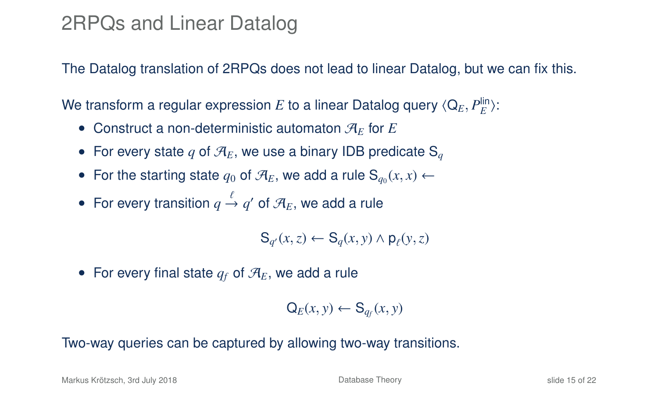### 2RPQs and Linear Datalog

The Datalog translation of 2RPQs does not lead to linear Datalog, but we can fix this.

We transform a regular expression  $E$  to a linear Datalog query  $\langle \mathsf{Q}_E, P^{\mathsf{lin}}_E \rangle$ :

- Construct a non-deterministic automaton  $\mathcal{A}_F$  for  $E$
- For every state q of  $\mathcal{A}_E$ , we use a binary IDB predicate  $S_a$
- For the starting state  $q_0$  of  $\mathcal{A}_E$ , we add a rule  $\mathbf{S}_{q_0}(x, x) \leftarrow$
- For every transition  $q \stackrel{\iota}{\rightarrow} q'$  of  $\mathcal{A}_E$ , we add a rule

 $\mathbf{S}_{q'}(x, z) \leftarrow \mathbf{S}_q(x, y) \wedge \mathbf{p}_{\ell}(y, z)$ 

• For every final state  $q_f$  of  $\mathcal{A}_E$ , we add a rule

$$
\mathsf{Q}_E(x,y) \leftarrow \mathsf{S}_{q_f}(x,y)
$$

#### Two-way queries can be captured by allowing two-way transitions.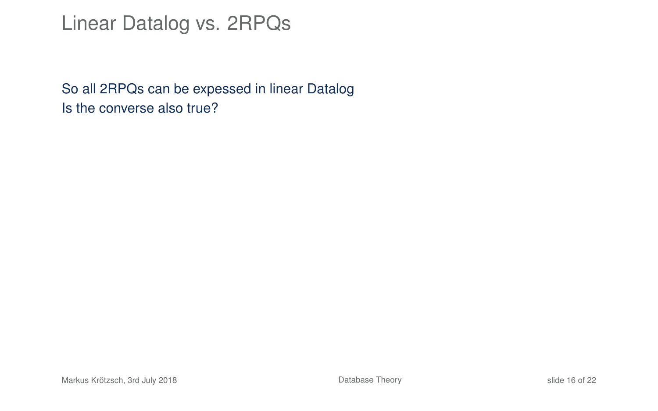### Linear Datalog vs. 2RPQs

So all 2RPQs can be expessed in linear Datalog Is the converse also true?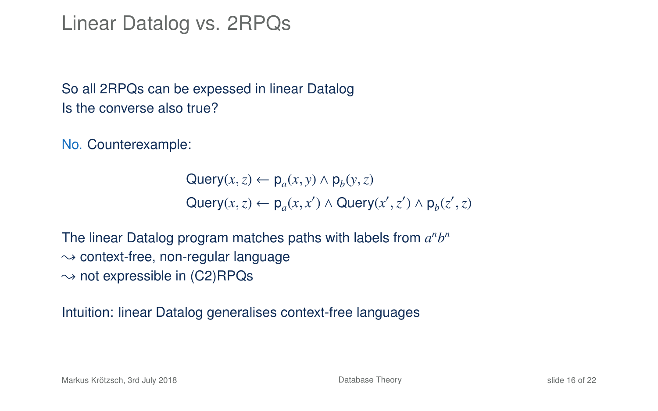### Linear Datalog vs. 2RPQs

So all 2RPQs can be expessed in linear Datalog Is the converse also true?

No. Counterexample:

Query( $x, z$ ) ←  $p_a(x, y) \wedge p_b(y, z)$  $\mathsf{Query}(x, z) \leftarrow \mathsf{p}_a(x, x') \land \mathsf{Query}(x', z') \land \mathsf{p}_b(z', z)$ 

The linear Datalog program matches paths with labels from  $a^n b^n$  $\rightarrow$  context-free, non-regular language  $\rightarrow$  not expressible in (C2)RPQs

Intuition: linear Datalog generalises context-free languages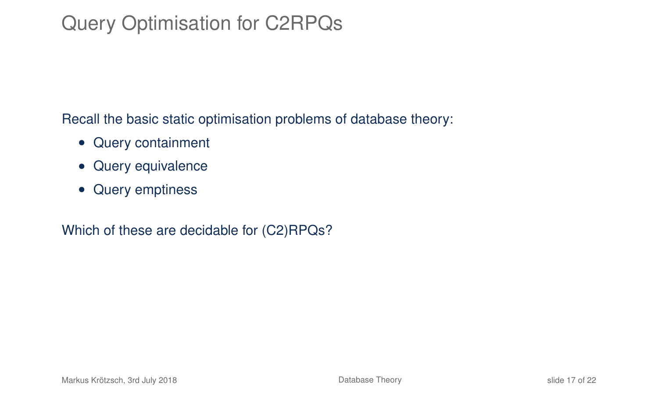# Query Optimisation for C2RPQs

Recall the basic static optimisation problems of database theory:

- Query containment
- Query equivalence
- Query emptiness

Which of these are decidable for (C2)RPQs?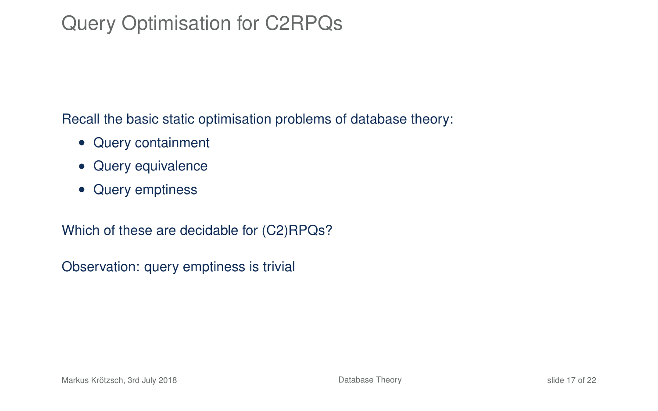# Query Optimisation for C2RPQs

Recall the basic static optimisation problems of database theory:

- Query containment
- Query equivalence
- Query emptiness

Which of these are decidable for (C2)RPQs?

Observation: query emptiness is trivial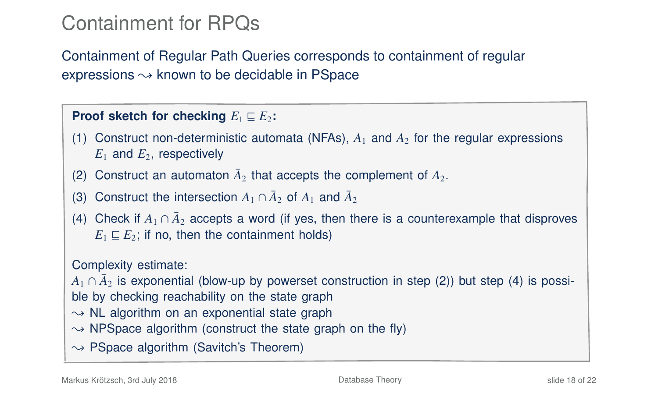# Containment for RPQs

Containment of Regular Path Queries corresponds to containment of regular expressions  $\rightsquigarrow$  known to be decidable in PSpace

#### **Proof sketch for checking**  $E_1 \sqsubseteq E_2$ :

- (1) Construct non-deterministic automata (NFAs),  $A_1$  and  $A_2$  for the regular expressions  $E_1$  and  $E_2$ , respectively
- (2) Construct an automaton  $\bar{A}_2$  that accepts the complement of  $A_2$ .
- (3) Construct the intersection  $A_1 \cap \overline{A}_2$  of  $A_1$  and  $\overline{A}_2$
- (4) Check if  $A_1 \cap \bar{A}_2$  accepts a word (if yes, then there is a counterexample that disproves  $E_1 \sqsubseteq E_2$ ; if no, then the containment holds)

#### Complexity estimate:

 $A_1 \cap \bar{A}_2$  is exponential (blow-up by powerset construction in step (2)) but step (4) is possible by checking reachability on the state graph

- $\rightarrow$  NL algorithm on an exponential state graph
- $\rightarrow$  NPSpace algorithm (construct the state graph on the fly)
- $\rightarrow$  PSpace algorithm (Savitch's Theorem)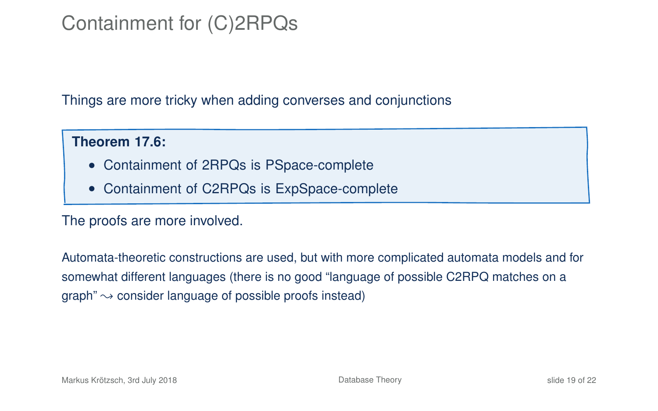# Containment for (C)2RPQs

Things are more tricky when adding converses and conjunctions

#### **Theorem 17.6:**

- Containment of 2RPQs is PSpace-complete
- Containment of C2RPQs is ExpSpace-complete

#### The proofs are more involved.

Automata-theoretic constructions are used, but with more complicated automata models and for somewhat different languages (there is no good "language of possible C2RPQ matches on a graph"  $\rightarrow$  consider language of possible proofs instead)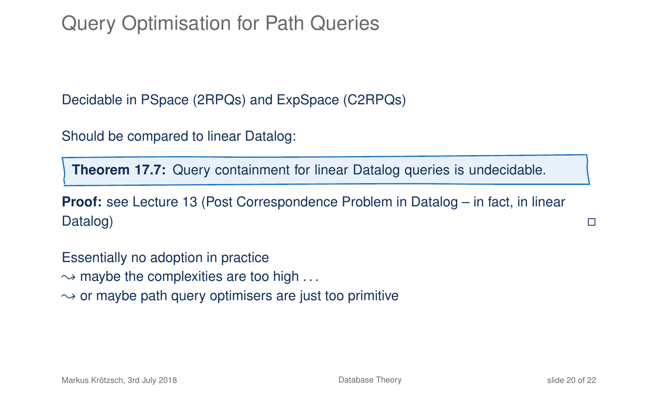# Query Optimisation for Path Queries

Decidable in PSpace (2RPQs) and ExpSpace (C2RPQs)

Should be compared to linear Datalog:

**Theorem 17.7:** Query containment for linear Datalog queries is undecidable.

**Proof:** see Lecture 13 (Post Correspondence Problem in Datalog – in fact, in linear Datalog) is a control of the control of the control of the control of the control of the control of the control of the control of the control of the control of the control of the control of the control of the control of t

Essentially no adoption in practice  $\rightarrow$  maybe the complexities are too high ...  $\rightarrow$  or maybe path query optimisers are just too primitive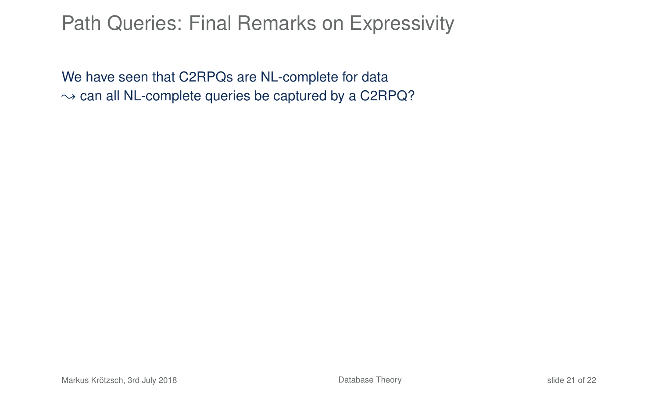### Path Queries: Final Remarks on Expressivity

We have seen that C2RPQs are NL-complete for data  $\sim$  can all NL-complete queries be captured by a C2RPQ?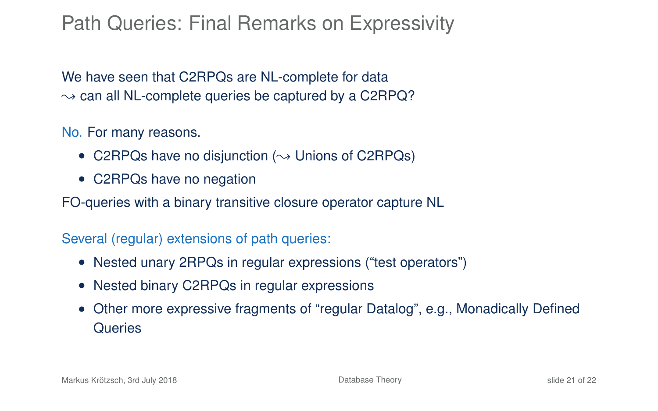# Path Queries: Final Remarks on Expressivity

We have seen that C2RPQs are NL-complete for data  $\sim$  can all NL-complete queries be captured by a C2RPQ?

No. For many reasons.

- C2RPQs have no disjunction ( $\rightsquigarrow$  Unions of C2RPQs)
- C2RPQs have no negation

FO-queries with a binary transitive closure operator capture NL

#### Several (regular) extensions of path queries:

- Nested unary 2RPQs in regular expressions ("test operators")
- Nested binary C2RPQs in regular expressions
- Other more expressive fragments of "regular Datalog", e.g., Monadically Defined **Queries**